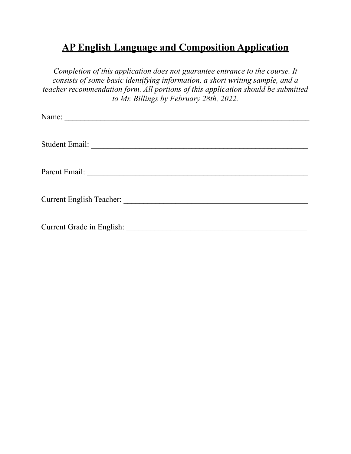## **AP English Language and Composition Application**

*Completion of this application does not guarantee entrance to the course. It consists of some basic identifying information, a short writing sample, and a teacher recommendation form. All portions of this application should be submitted to Mr. Billings by February 28th, 2022.* 

| Current Grade in English: |
|---------------------------|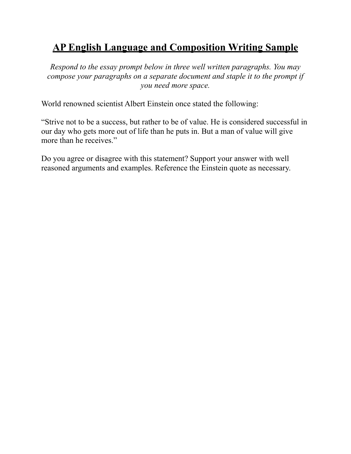## **AP English Language and Composition Writing Sample**

*Respond to the essay prompt below in three well written paragraphs. You may compose your paragraphs on a separate document and staple it to the prompt if you need more space.* 

World renowned scientist Albert Einstein once stated the following:

"Strive not to be a success, but rather to be of value. He is considered successful in our day who gets more out of life than he puts in. But a man of value will give more than he receives."

Do you agree or disagree with this statement? Support your answer with well reasoned arguments and examples. Reference the Einstein quote as necessary.